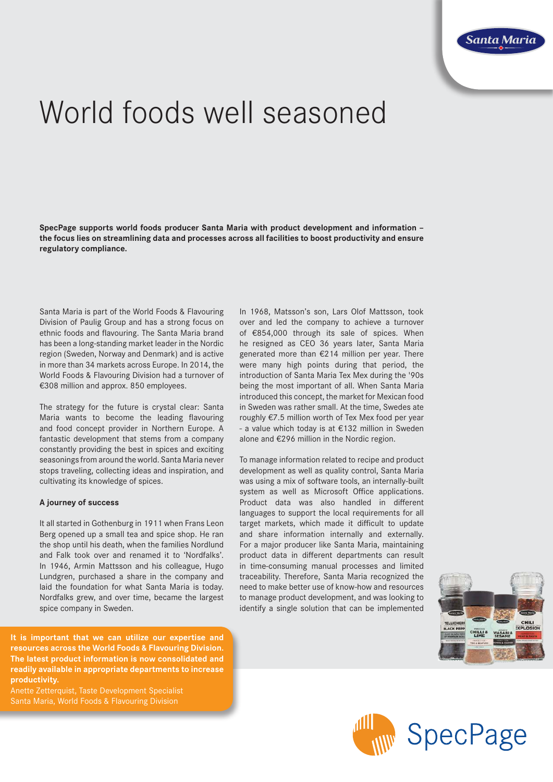

# World foods well seasoned

**SpecPage supports world foods producer Santa Maria with product development and information – the focus lies on streamlining data and processes across all facilities to boost productivity and ensure regulatory compliance.**

Santa Maria is part of the World Foods & Flavouring Division of Paulig Group and has a strong focus on ethnic foods and flavouring. The Santa Maria brand has been a long-standing market leader in the Nordic region (Sweden, Norway and Denmark) and is active in more than 34 markets across Europe. In 2014, the World Foods & Flavouring Division had a turnover of €308 million and approx. 850 employees.

The strategy for the future is crystal clear: Santa Maria wants to become the leading flavouring and food concept provider in Northern Europe. A fantastic development that stems from a company constantly providing the best in spices and exciting seasonings from around the world. Santa Maria never stops traveling, collecting ideas and inspiration, and cultivating its knowledge of spices.

### **A journey of success**

It all started in Gothenburg in 1911 when Frans Leon Berg opened up a small tea and spice shop. He ran the shop until his death, when the families Nordlund and Falk took over and renamed it to 'Nordfalks'. In 1946, Armin Mattsson and his colleague, Hugo Lundgren, purchased a share in the company and laid the foundation for what Santa Maria is today. Nordfalks grew, and over time, became the largest spice company in Sweden.

**It is important that we can utilize our expertise and resources across the World Foods & Flavouring Division. The latest product information is now consolidated and readily available in appropriate departments to increase productivity.**

Anette Zetterquist, Taste Development Specialist Santa Maria, World Foods & Flavouring Division

In 1968, Matsson's son, Lars Olof Mattsson, took over and led the company to achieve a turnover of €854,000 through its sale of spices. When he resigned as CEO 36 years later, Santa Maria generated more than €214 million per year. There were many high points during that period, the introduction of Santa Maria Tex Mex during the '90s being the most important of all. When Santa Maria introduced this concept, the market for Mexican food in Sweden was rather small. At the time, Swedes ate roughly €7.5 million worth of Tex Mex food per year - a value which today is at €132 million in Sweden alone and €296 million in the Nordic region.

To manage information related to recipe and product development as well as quality control, Santa Maria was using a mix of software tools, an internally-built system as well as Microsoft Office applications. Product data was also handled in different languages to support the local requirements for all target markets, which made it difficult to update and share information internally and externally. For a major producer like Santa Maria, maintaining product data in different departments can result in time-consuming manual processes and limited traceability. Therefore, Santa Maria recognized the need to make better use of know-how and resources to manage product development, and was looking to identify a single solution that can be implemented



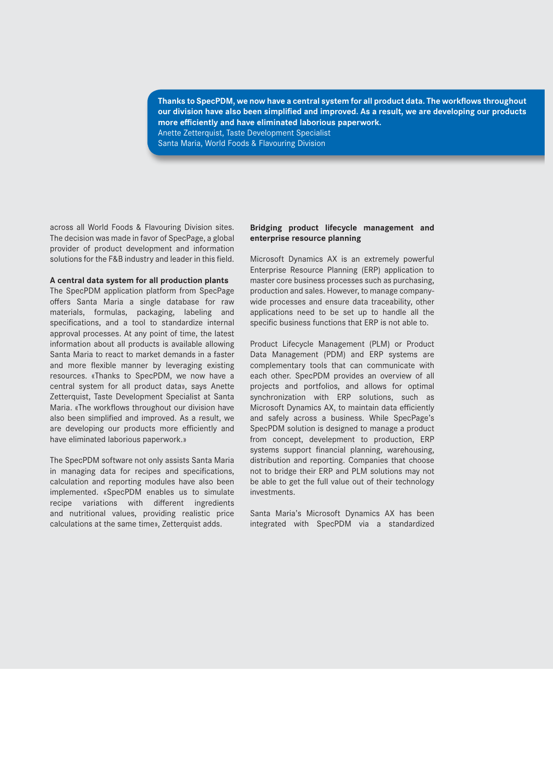**Thanks to SpecPDM, we now have a central system for all product data. The workflows throughout our division have also been simplified and improved. As a result, we are developing our products more efficiently and have eliminated laborious paperwork.** Anette Zetterquist, Taste Development Specialist Santa Maria, World Foods & Flavouring Division

across all World Foods & Flavouring Division sites. The decision was made in favor of SpecPage, a global provider of product development and information solutions for the F&B industry and leader in this field.

## **A central data system for all production plants**

The SpecPDM application platform from SpecPage offers Santa Maria a single database for raw materials, formulas, packaging, labeling and specifications, and a tool to standardize internal approval processes. At any point of time, the latest information about all products is available allowing Santa Maria to react to market demands in a faster and more flexible manner by leveraging existing resources. «Thanks to SpecPDM, we now have a central system for all product data», says Anette Zetterquist, Taste Development Specialist at Santa Maria. «The workflows throughout our division have also been simplified and improved. As a result, we are developing our products more efficiently and have eliminated laborious paperwork.»

The SpecPDM software not only assists Santa Maria in managing data for recipes and specifications, calculation and reporting modules have also been implemented. «SpecPDM enables us to simulate recipe variations with different ingredients and nutritional values, providing realistic price calculations at the same time», Zetterquist adds.

## **Bridging product lifecycle management and enterprise resource planning**

Microsoft Dynamics AX is an extremely powerful Enterprise Resource Planning (ERP) application to master core business processes such as purchasing, production and sales. However, to manage companywide processes and ensure data traceability, other applications need to be set up to handle all the specific business functions that ERP is not able to.

Product Lifecycle Management (PLM) or Product Data Management (PDM) and ERP systems are complementary tools that can communicate with each other. SpecPDM provides an overview of all projects and portfolios, and allows for optimal synchronization with ERP solutions, such as Microsoft Dynamics AX, to maintain data efficiently and safely across a business. While SpecPage's SpecPDM solution is designed to manage a product from concept, develepment to production, ERP systems support financial planning, warehousing, distribution and reporting. Companies that choose not to bridge their ERP and PLM solutions may not be able to get the full value out of their technology investments.

Santa Maria's Microsoft Dynamics AX has been integrated with SpecPDM via a standardized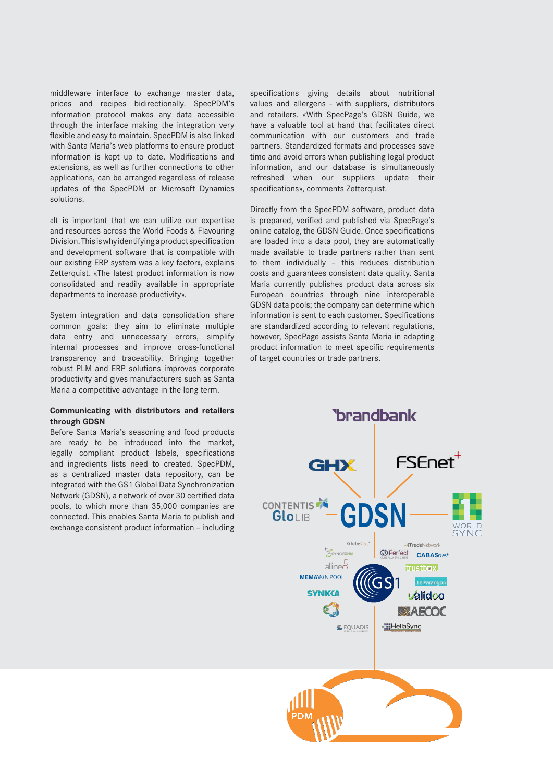middleware interface to exchange master data, prices and recipes bidirectionally. SpecPDM's information protocol makes any data accessible through the interface making the integration very flexible and easy to maintain. SpecPDM is also linked with Santa Maria's web platforms to ensure product information is kept up to date. Modifications and extensions, as well as further connections to other applications, can be arranged regardless of release updates of the SpecPDM or Microsoft Dynamics solutions.

«It is important that we can utilize our expertise and resources across the World Foods & Flavouring Division. This is why identifying a product specification and development software that is compatible with our existing ERP system was a key factor», explains Zetterquist. «The latest product information is now consolidated and readily available in appropriate departments to increase productivity».

System integration and data consolidation share common goals: they aim to eliminate multiple data entry and unnecessary errors, simplify internal processes and improve cross-functional transparency and traceability. Bringing together robust PLM and ERP solutions improves corporate productivity and gives manufacturers such as Santa Maria a competitive advantage in the long term.

## **Communicating with distributors and retailers through GDSN**

Before Santa Maria's seasoning and food products are ready to be introduced into the market, legally compliant product labels, specifications and ingredients lists need to created. SpecPDM, as a centralized master data repository, can be integrated with the GS1 Global Data Synchronization Network (GDSN), a network of over 30 certified data pools, to which more than 35,000 companies are connected. This enables Santa Maria to publish and exchange consistent product information – including

specifications giving details about nutritional values and allergens - with suppliers, distributors and retailers. «With SpecPage's GDSN Guide, we have a valuable tool at hand that facilitates direct communication with our customers and trade partners. Standardized formats and processes save time and avoid errors when publishing legal product information, and our database is simultaneously refreshed when our suppliers update their specifications», comments Zetterquist.

Directly from the SpecPDM software, product data is prepared, verified and published via SpecPage's online catalog, the GDSN Guide. Once specifications are loaded into a data pool, they are automatically made available to trade partners rather than sent to them individually – this reduces distribution costs and guarantees consistent data quality. Santa Maria currently publishes product data across six European countries through nine interoperable GDSN data pools; the company can determine which information is sent to each customer. Specifications are standardized according to relevant regulations, however, SpecPage assists Santa Maria in adapting product information to meet specific requirements of target countries or trade partners.